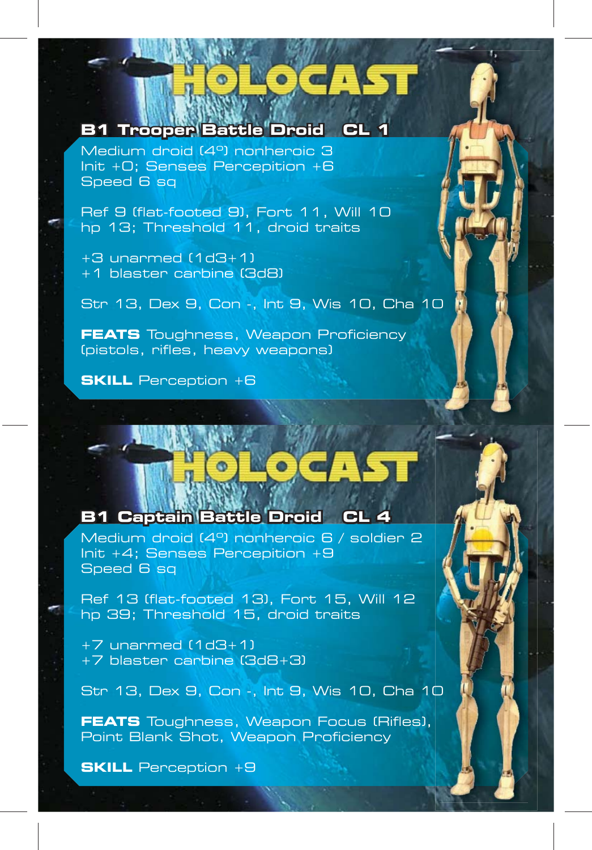# **B1 Trooper Battle Droid CL 1 1**

Medium droid (4º) nonheroic 3 Init +0; Senses Percepition +6 Speed 6 sq

Ref 9 (flat-footed 9), Fort 11, Will 10 hp 13; Threshold 11, droid traits

+3 unarmed (1d3+1) +1 blaster carbine (3d8)

Str 13, Dex 9, Con -, Int 9, Wis 10, Cha 10

**FEATS** Toughness, Weapon Proficiency (pistols, rifles, heavy weapons)

**SKILL** Perception +6

# **B1 Captain Battle Droid CL 4 1**

Medium droid (4º) nonheroic 6 / soldier 2 Init +4; Senses Percepition +9 Speed 6 sq

Ref 13 (flat-footed 13), Fort 15, Will 12 hp 39; Threshold 15, droid traits

+7 unarmed (1d3+1) +7 blaster carbine (3d8+3)

Str 13, Dex 9, Con -, Int 9, Wis 10, Cha 10 00

**FEATS** Toughness, Weapon Focus (Rifles), Point Blank Shot, Weapon Proficiency

**SKILL** Perception +9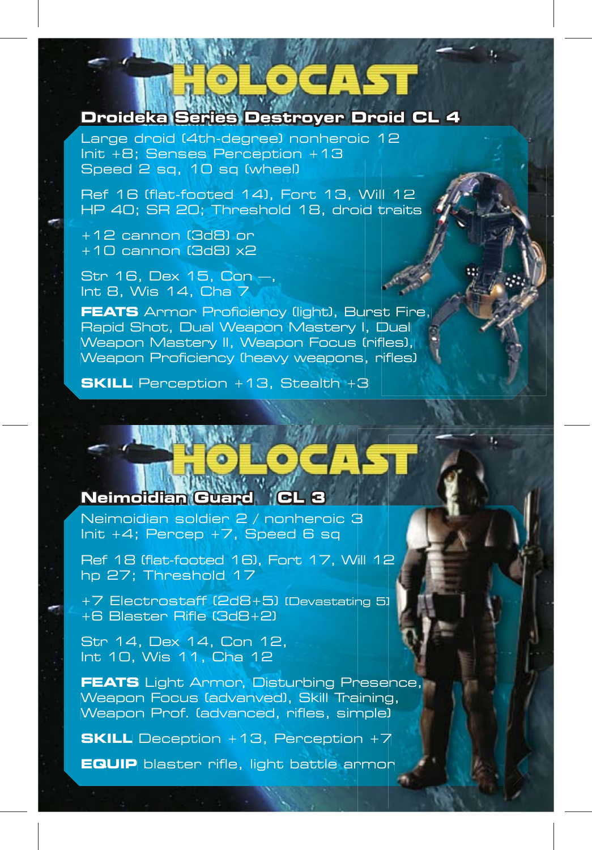Large droid (4th-degree) nonheroic 12 Init +8; Senses Perception +13 Speed 2 sq, 10 sq (wheel)

Ref 16 (flat-footed 14), Fort 13, Will 12 Wil HP 40; SR 20; Threshold 18, droid traits d t **FEATS** Armor Proficiency (light), Burst Fire,<br> **FEATS** Armor (3d8) or<br>
+10 cannon (3d8) or<br>
+10 cannon (3d8) x2<br>
Str 16, Dex 15, Con —,<br>
Int 8, Wis 14, Cha 7<br> **FEATS** Armor Proficiency (light), Burst Fire,

+12 cannon (3d8) or +10 cannon (3d8) x2

Str 16, Dex 15, Con —, Int 8, Wis 14, Cha 7

**Droideka Series Destroyer Droid CL 4**<br>Lange droid (4th-degree) nonheroic 12<br>Speed 2 sq., 10 sq (wheel)<br>The H filat frotted 14), Fort 13, Will 12<br>RF 16 flat frotted 14, Fort 13, Will 12<br>HP 40; SR 20; Threshold 18, droid tr Rapid Shot, Dual Weapon Mastery I, Dual Weapon Mastery II, Weapon Focus (rifles), Weapon Proficiency (heavy weapons, rifles)

**SKILL** Perception +13, Stealth +3

# **Neimoidian Guard CL 3 eimoidian**

Neimoidian soldier 2 / nonheroic 3 Init +4; Percep +7, Speed 6 sq

Ref 18 (flat-footed 16), Fort 17, Will 12 hp 27; Threshold 17

+7 Electrostaff (2d8+5) [Devastating 5] +6 Blaster Rifle (3d8+2) Ref 18 (flat-footed 16), Fort 17, Will 12<br>hp 27; Threshold 17<br>+7 Electrostaff (2d8+5) (Devastating 5)<br>+6 Blaster Rifle (3d8+2)<br>Str 14, Dex 14, Con 12,<br>Int 10, Wis 11, Cha 12<br>**FEATS** Light Armor, Disturbing Presence,

Str 14, Dex 14, Con 12, Int 10, Wis 11, Cha 12

Weapon Focus (advanved), Skill Training, Weapon Prof. (advanced, rifles, simple) Vill 12<br>sing 51<br>Presence,<br>anining,<br>nn + 7<br>armor

**SKILL** Deception +13, Perception +7

**EQUIP** blaster rifle, light battle armor